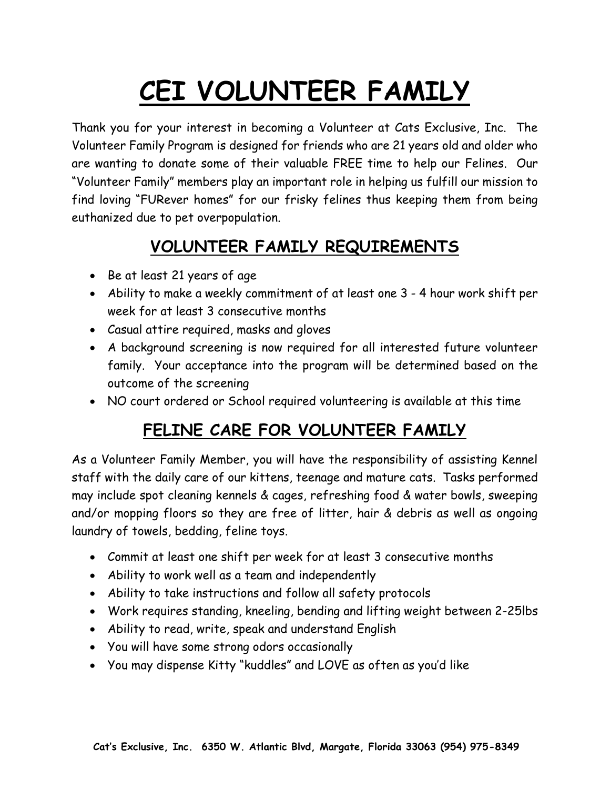# **CEI VOLUNTEER FAMILY**

Thank you for your interest in becoming a Volunteer at Cats Exclusive, Inc. The Volunteer Family Program is designed for friends who are 21 years old and older who are wanting to donate some of their valuable FREE time to help our Felines. Our "Volunteer Family" members play an important role in helping us fulfill our mission to find loving "FURever homes" for our frisky felines thus keeping them from being euthanized due to pet overpopulation.

## **VOLUNTEER FAMILY REQUIREMENTS**

- Be at least 21 years of age
- Ability to make a weekly commitment of at least one 3 4 hour work shift per week for at least 3 consecutive months
- Casual attire required, masks and gloves
- A background screening is now required for all interested future volunteer family. Your acceptance into the program will be determined based on the outcome of the screening
- NO court ordered or School required volunteering is available at this time

#### **FELINE CARE FOR VOLUNTEER FAMILY**

As a Volunteer Family Member, you will have the responsibility of assisting Kennel staff with the daily care of our kittens, teenage and mature cats. Tasks performed may include spot cleaning kennels & cages, refreshing food & water bowls, sweeping and/or mopping floors so they are free of litter, hair & debris as well as ongoing laundry of towels, bedding, feline toys.

- Commit at least one shift per week for at least 3 consecutive months
- Ability to work well as a team and independently
- Ability to take instructions and follow all safety protocols
- Work requires standing, kneeling, bending and lifting weight between 2-25lbs
- Ability to read, write, speak and understand English
- You will have some strong odors occasionally
- You may dispense Kitty "kuddles" and LOVE as often as you'd like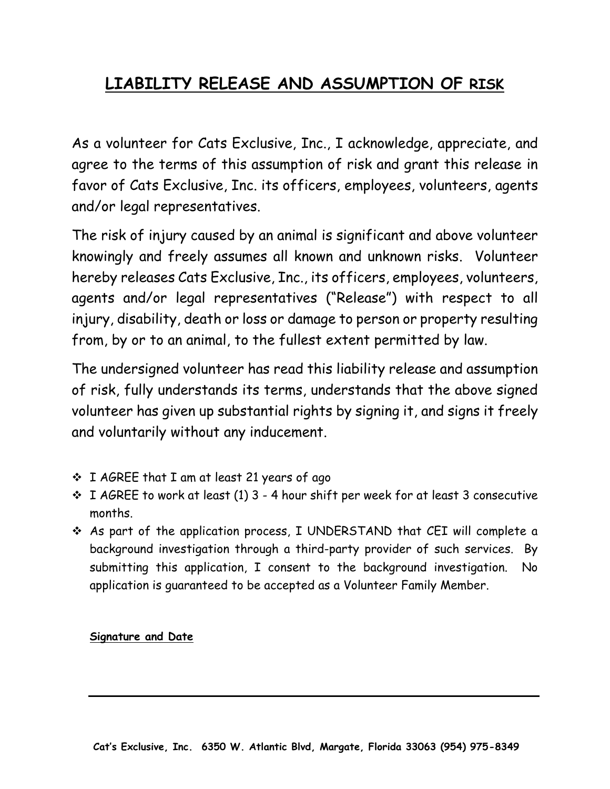## **LIABILITY RELEASE AND ASSUMPTION OF RISK**

As a volunteer for Cats Exclusive, Inc., I acknowledge, appreciate, and agree to the terms of this assumption of risk and grant this release in favor of Cats Exclusive, Inc. its officers, employees, volunteers, agents and/or legal representatives.

The risk of injury caused by an animal is significant and above volunteer knowingly and freely assumes all known and unknown risks. Volunteer hereby releases Cats Exclusive, Inc., its officers, employees, volunteers, agents and/or legal representatives ("Release") with respect to all injury, disability, death or loss or damage to person or property resulting from, by or to an animal, to the fullest extent permitted by law.

The undersigned volunteer has read this liability release and assumption of risk, fully understands its terms, understands that the above signed volunteer has given up substantial rights by signing it, and signs it freely and voluntarily without any inducement.

- ❖ I AGREE that I am at least 21 years of ago
- ❖ I AGREE to work at least (1) 3 4 hour shift per week for at least 3 consecutive months.
- ❖ As part of the application process, I UNDERSTAND that CEI will complete a background investigation through a third-party provider of such services. By submitting this application, I consent to the background investigation. No application is guaranteed to be accepted as a Volunteer Family Member.

#### **Signature and Date**